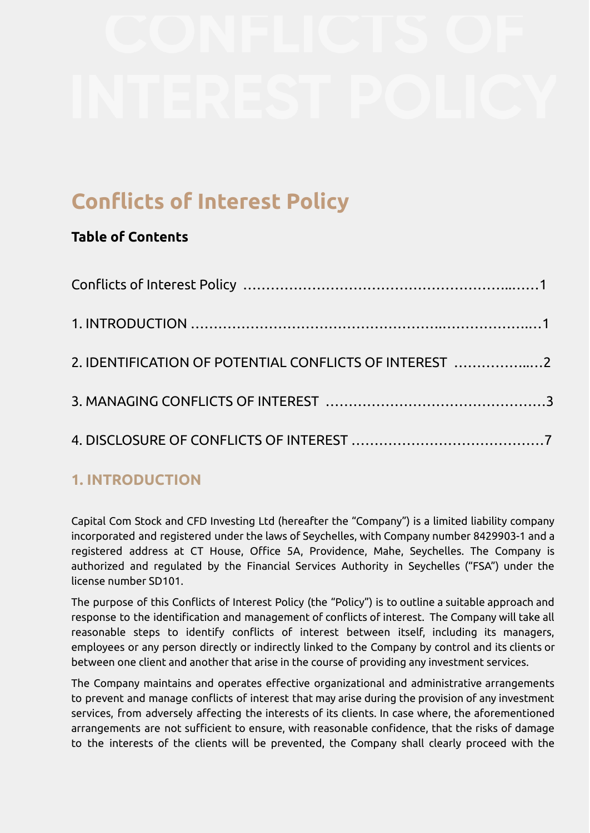# **Conflicts of Interest Policy**

### **Table of Contents**

| 2. IDENTIFICATION OF POTENTIAL CONFLICTS OF INTEREST 2 |  |
|--------------------------------------------------------|--|
|                                                        |  |
|                                                        |  |

# **1. INTRODUCTION**

Capital Com Stock and CFD Investing Ltd (hereafter the "Company") is a limited liability company incorporated and registered under the laws of Seychelles, with Company number 8429903-1 and a registered address at CT House, Office 5A, Providence, Mahe, Seychelles. The Company is authorized and regulated by the Financial Services Authority in Seychelles ("FSA") under the license number SD101.

The purpose of this Conflicts of Interest Policy (the "Policy") is to outline a suitable approach and response to the identification and management of conflicts of interest. The Company will take all reasonable steps to identify conflicts of interest between itself, including its managers, employees or any person directly or indirectly linked to the Company by control and its clients or between one client and another that arise in the course of providing any investment services.

The Company maintains and operates effective organizational and administrative arrangements to prevent and manage conflicts of interest that may arise during the provision of any investment services, from adversely affecting the interests of its clients. In case where, the aforementioned arrangements are not sufficient to ensure, with reasonable confidence, that the risks of damage to the interests of the clients will be prevented, the Company shall clearly proceed with the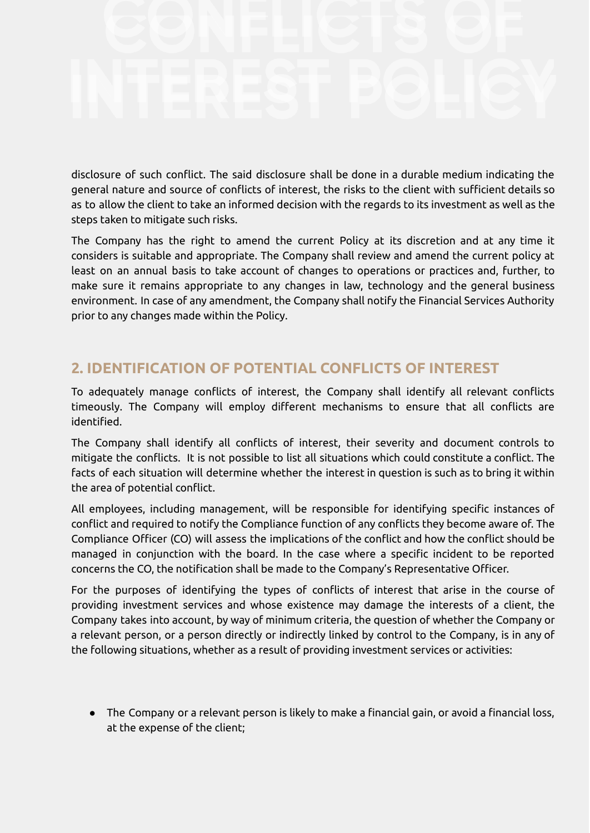disclosure of such conflict. The said disclosure shall be done in a durable medium indicating the general nature and source of conflicts of interest, the risks to the client with sufficient details so as to allow the client to take an informed decision with the regards to its investment as well as the steps taken to mitigate such risks.

The Company has the right to amend the current Policy at its discretion and at any time it considers is suitable and appropriate. The Company shall review and amend the current policy at least on an annual basis to take account of changes to operations or practices and, further, to make sure it remains appropriate to any changes in law, technology and the general business environment. In case of any amendment, the Company shall notify the Financial Services Authority prior to any changes made within the Policy.

# **2. IDENTIFICATION OF POTENTIAL CONFLICTS OF INTEREST**

To adequately manage conflicts of interest, the Company shall identify all relevant conflicts timeously. The Company will employ different mechanisms to ensure that all conflicts are identified.

The Company shall identify all conflicts of interest, their severity and document controls to mitigate the conflicts. It is not possible to list all situations which could constitute a conflict. The facts of each situation will determine whether the interest in question is such as to bring it within the area of potential conflict.

All employees, including management, will be responsible for identifying specific instances of conflict and required to notify the Compliance function of any conflicts they become aware of. The Compliance Officer (CO) will assess the implications of the conflict and how the conflict should be managed in conjunction with the board. In the case where a specific incident to be reported concerns the CO, the notification shall be made to the Company's Representative Officer.

For the purposes of identifying the types of conflicts of interest that arise in the course of providing investment services and whose existence may damage the interests of a client, the Company takes into account, by way of minimum criteria, the question of whether the Company or a relevant person, or a person directly or indirectly linked by control to the Company, is in any of the following situations, whether as a result of providing investment services or activities:

● The Company or a relevant person is likely to make a financial gain, or avoid a financial loss, at the expense of the client;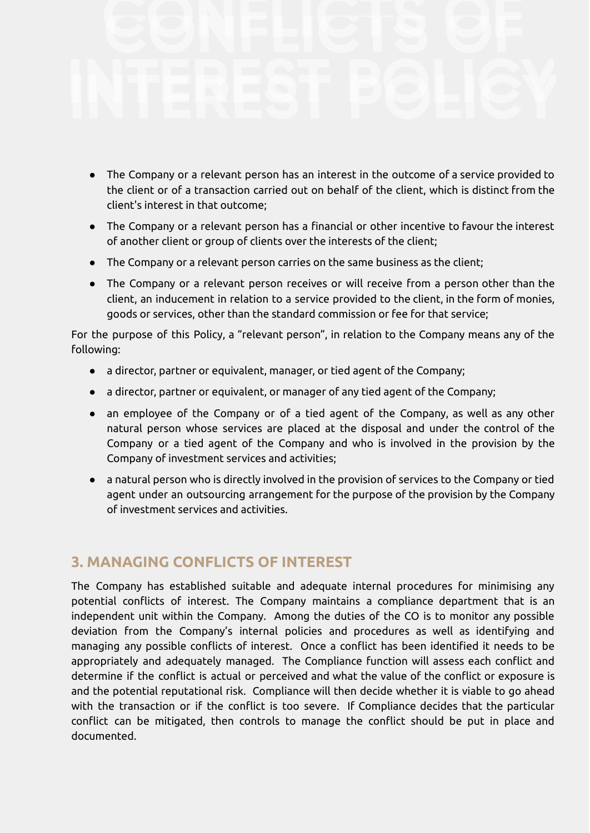- The Company or a relevant person has an interest in the outcome of a service provided to the client or of a transaction carried out on behalf of the client, which is distinct from the client's interest in that outcome;
- The Company or a relevant person has a financial or other incentive to favour the interest of another client or group of clients over the interests of the client;
- The Company or a relevant person carries on the same business as the client;
- The Company or a relevant person receives or will receive from a person other than the client, an inducement in relation to a service provided to the client, in the form of monies, goods or services, other than the standard commission or fee for that service;

For the purpose of this Policy, a "relevant person", in relation to the Company means any of the following:

- a director, partner or equivalent, manager, or tied agent of the Company;
- a director, partner or equivalent, or manager of any tied agent of the Company;
- an employee of the Company or of a tied agent of the Company, as well as any other natural person whose services are placed at the disposal and under the control of the Company or a tied agent of the Company and who is involved in the provision by the Company of investment services and activities;
- a natural person who is directly involved in the provision of services to the Company or tied agent under an outsourcing arrangement for the purpose of the provision by the Company of investment services and activities.

### **3. MANAGING CONFLICTS OF INTEREST**

The Company has established suitable and adequate internal procedures for minimising any potential conflicts of interest. The Company maintains a compliance department that is an independent unit within the Company. Among the duties of the CO is to monitor any possible deviation from the Company's internal policies and procedures as well as identifying and managing any possible conflicts of interest. Once a conflict has been identified it needs to be appropriately and adequately managed. The Compliance function will assess each conflict and determine if the conflict is actual or perceived and what the value of the conflict or exposure is and the potential reputational risk. Compliance will then decide whether it is viable to go ahead with the transaction or if the conflict is too severe. If Compliance decides that the particular conflict can be mitigated, then controls to manage the conflict should be put in place and documented.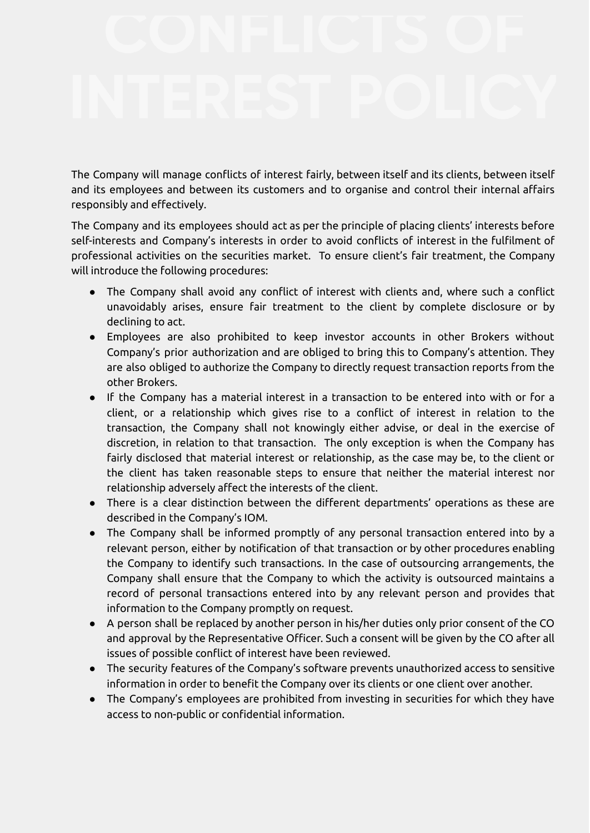The Company will manage conflicts of interest fairly, between itself and its clients, between itself and its employees and between its customers and to organise and control their internal affairs responsibly and effectively.

The Company and its employees should act as per the principle of placing clients' interests before self-interests and Company's interests in order to avoid conflicts of interest in the fulfilment of professional activities on the securities market. To ensure client's fair treatment, the Company will introduce the following procedures:

- The Company shall avoid any conflict of interest with clients and, where such a conflict unavoidably arises, ensure fair treatment to the client by complete disclosure or by declining to act.
- Employees are also prohibited to keep investor accounts in other Brokers without Company's prior authorization and are obliged to bring this to Company's attention. They are also obliged to authorize the Company to directly request transaction reports from the other Brokers.
- If the Company has a material interest in a transaction to be entered into with or for a client, or a relationship which gives rise to a conflict of interest in relation to the transaction, the Company shall not knowingly either advise, or deal in the exercise of discretion, in relation to that transaction. The only exception is when the Company has fairly disclosed that material interest or relationship, as the case may be, to the client or the client has taken reasonable steps to ensure that neither the material interest nor relationship adversely affect the interests of the client.
- There is a clear distinction between the different departments' operations as these are described in the Company's IOM.
- The Company shall be informed promptly of any personal transaction entered into by a relevant person, either by notification of that transaction or by other procedures enabling the Company to identify such transactions. In the case of outsourcing arrangements, the Company shall ensure that the Company to which the activity is outsourced maintains a record of personal transactions entered into by any relevant person and provides that information to the Company promptly on request.
- A person shall be replaced by another person in his/her duties only prior consent of the CO and approval by the Representative Officer. Such a consent will be given by the CO after all issues of possible conflict of interest have been reviewed.
- The security features of the Company's software prevents unauthorized access to sensitive information in order to benefit the Company over its clients or one client over another.
- The Company's employees are prohibited from investing in securities for which they have access to non-public or confidential information.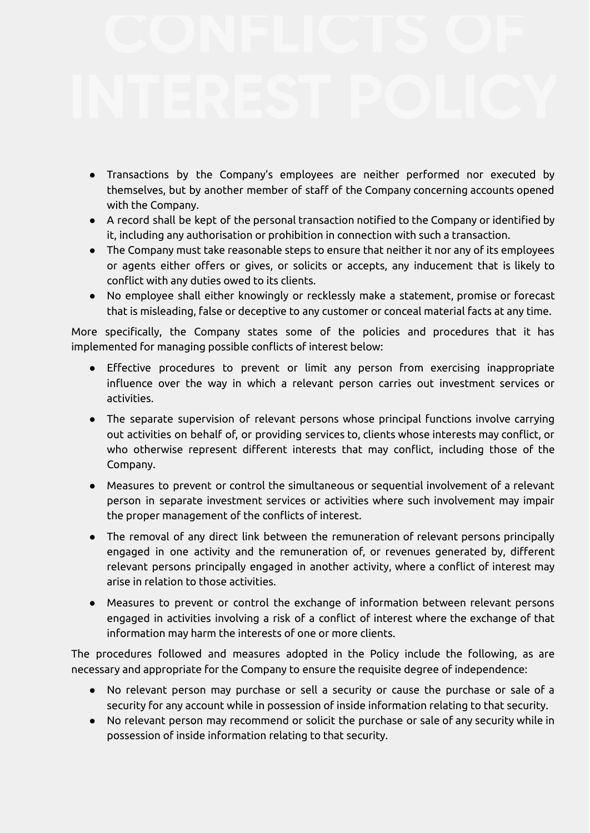- Transactions by the Company's employees are neither performed nor executed by themselves, but by another member of staff of the Company concerning accounts opened with the Company.
- A record shall be kept of the personal transaction notified to the Company or identified by it, including any authorisation or prohibition in connection with such a transaction.
- The Company must take reasonable steps to ensure that neither it nor any of its employees or agents either offers or gives, or solicits or accepts, any inducement that is likely to conflict with any duties owed to its clients.
- No employee shall either knowingly or recklessly make a statement, promise or forecast that is misleading, false or deceptive to any customer or conceal material facts at any time.

More specifically, the Company states some of the policies and procedures that it has implemented for managing possible conflicts of interest below:

- Effective procedures to prevent or limit any person from exercising inappropriate influence over the way in which a relevant person carries out investment services or activities.
- The separate supervision of relevant persons whose principal functions involve carrying out activities on behalf of, or providing services to, clients whose interests may conflict, or who otherwise represent different interests that may conflict, including those of the Company.
- Measures to prevent or control the simultaneous or sequential involvement of a relevant person in separate investment services or activities where such involvement may impair the proper management of the conflicts of interest.
- The removal of any direct link between the remuneration of relevant persons principally engaged in one activity and the remuneration of, or revenues generated by, different relevant persons principally engaged in another activity, where a conflict of interest may arise in relation to those activities.
- Measures to prevent or control the exchange of information between relevant persons engaged in activities involving a risk of a conflict of interest where the exchange of that information may harm the interests of one or more clients.

The procedures followed and measures adopted in the Policy include the following, as are necessary and appropriate for the Company to ensure the requisite degree of independence:

- No relevant person may purchase or sell a security or cause the purchase or sale of a security for any account while in possession of inside information relating to that security.
- No relevant person may recommend or solicit the purchase or sale of any security while in possession of inside information relating to that security.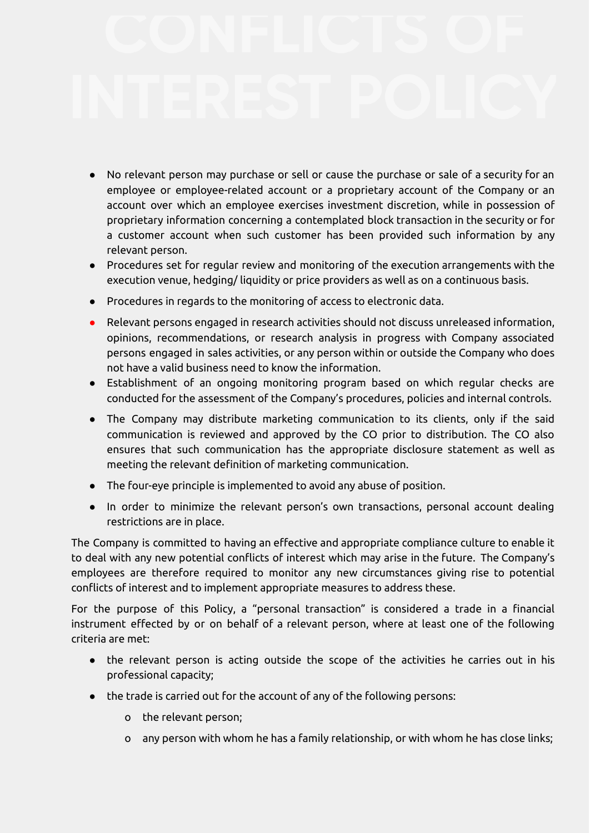- No relevant person may purchase or sell or cause the purchase or sale of a security for an employee or employee-related account or a proprietary account of the Company or an account over which an employee exercises investment discretion, while in possession of proprietary information concerning a contemplated block transaction in the security or for a customer account when such customer has been provided such information by any relevant person.
- Procedures set for regular review and monitoring of the execution arrangements with the execution venue, hedging/ liquidity or price providers as well as on a continuous basis.
- Procedures in regards to the monitoring of access to electronic data.
- Relevant persons engaged in research activities should not discuss unreleased information, opinions, recommendations, or research analysis in progress with Company associated persons engaged in sales activities, or any person within or outside the Company who does not have a valid business need to know the information.
- Establishment of an ongoing monitoring program based on which regular checks are conducted for the assessment of the Company's procedures, policies and internal controls.
- The Company may distribute marketing communication to its clients, only if the said communication is reviewed and approved by the CO prior to distribution. The CO also ensures that such communication has the appropriate disclosure statement as well as meeting the relevant definition of marketing communication.
- The four-eye principle is implemented to avoid any abuse of position.
- In order to minimize the relevant person's own transactions, personal account dealing restrictions are in place.

The Company is committed to having an effective and appropriate compliance culture to enable it to deal with any new potential conflicts of interest which may arise in the future. The Company's employees are therefore required to monitor any new circumstances giving rise to potential conflicts of interest and to implement appropriate measures to address these.

For the purpose of this Policy, a "personal transaction" is considered a trade in a financial instrument effected by or on behalf of a relevant person, where at least one of the following criteria are met:

- the relevant person is acting outside the scope of the activities he carries out in his professional capacity;
- the trade is carried out for the account of any of the following persons:
	- o the relevant person;
	- o any person with whom he has a family relationship, or with whom he has close links;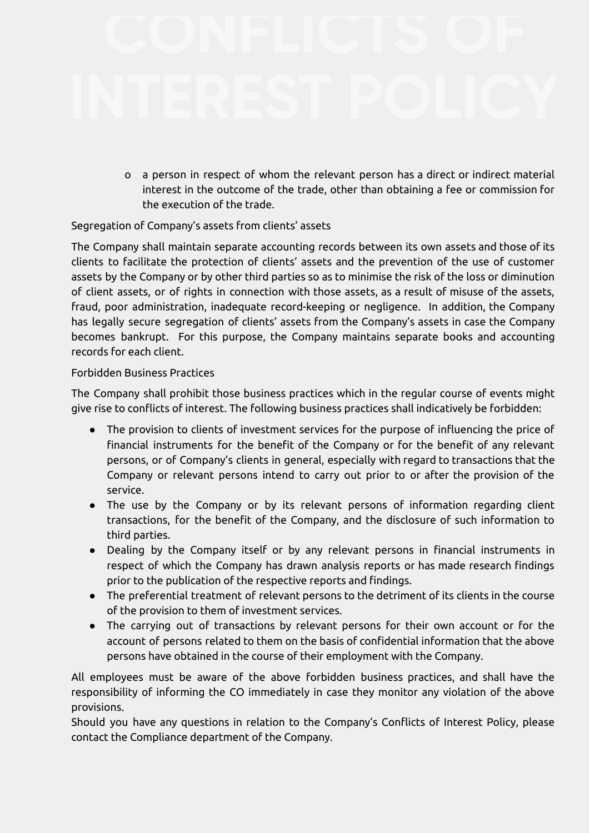o a person in respect of whom the relevant person has a direct or indirect material interest in the outcome of the trade, other than obtaining a fee or commission for the execution of the trade.

### Segregation of Company's assets from clients' assets

The Company shall maintain separate accounting records between its own assets and those of its clients to facilitate the protection of clients' assets and the prevention of the use of customer assets by the Company or by other third parties so as to minimise the risk of the loss or diminution of client assets, or of rights in connection with those assets, as a result of misuse of the assets, fraud, poor administration, inadequate record-keeping or negligence. In addition, the Company has legally secure segregation of clients' assets from the Company's assets in case the Company becomes bankrupt. For this purpose, the Company maintains separate books and accounting records for each client.

### Forbidden Business Practices

The Company shall prohibit those business practices which in the regular course of events might give rise to conflicts of interest. The following business practices shall indicatively be forbidden:

- The provision to clients of investment services for the purpose of influencing the price of financial instruments for the benefit of the Company or for the benefit of any relevant persons, or of Company's clients in general, especially with regard to transactions that the Company or relevant persons intend to carry out prior to or after the provision of the service.
- The use by the Company or by its relevant persons of information regarding client transactions, for the benefit of the Company, and the disclosure of such information to third parties.
- Dealing by the Company itself or by any relevant persons in financial instruments in respect of which the Company has drawn analysis reports or has made research findings prior to the publication of the respective reports and findings.
- The preferential treatment of relevant persons to the detriment of its clients in the course of the provision to them of investment services.
- The carrying out of transactions by relevant persons for their own account or for the account of persons related to them on the basis of confidential information that the above persons have obtained in the course of their employment with the Company.

All employees must be aware of the above forbidden business practices, and shall have the responsibility of informing the CO immediately in case they monitor any violation of the above provisions.

Should you have any questions in relation to the Company's Conflicts of Interest Policy, please contact the Compliance department of the Company.